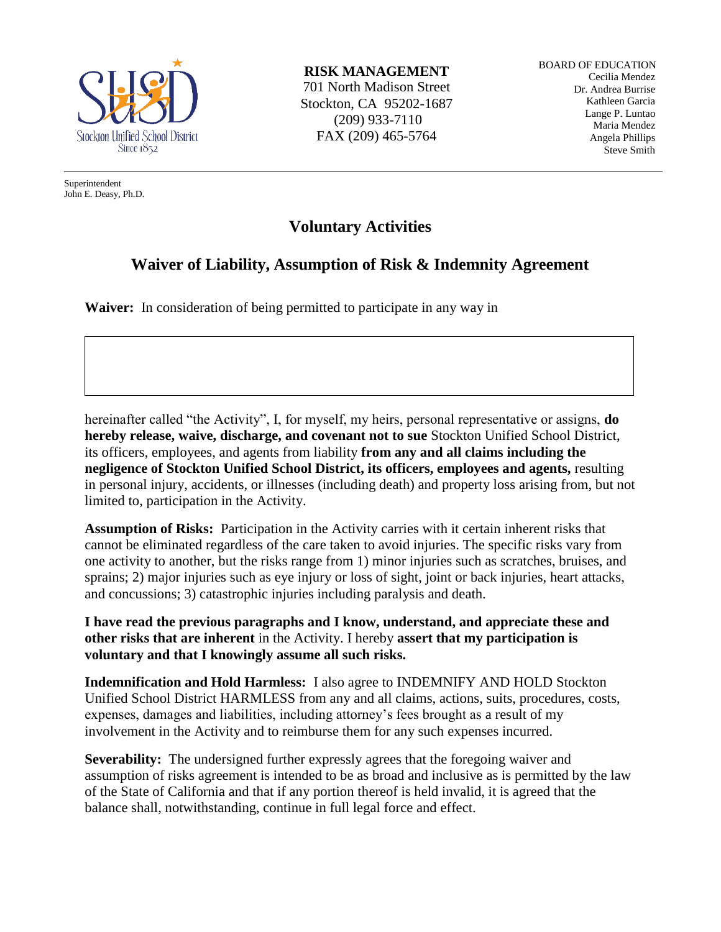

Superintendent John E. Deasy, Ph.D. **RISK MANAGEMENT**

701 North Madison Street Stockton, CA 95202-1687 (209) 933-7110 FAX (209) 465-5764

BOARD OF EDUCATION Cecilia Mendez Dr. Andrea Burrise Kathleen Garcia Lange P. Luntao Maria Mendez Angela Phillips Steve Smith

## **Voluntary Activities**

## **Waiver of Liability, Assumption of Risk & Indemnity Agreement**

**Waiver:** In consideration of being permitted to participate in any way in

hereinafter called "the Activity", I, for myself, my heirs, personal representative or assigns, **do hereby release, waive, discharge, and covenant not to sue** Stockton Unified School District, its officers, employees, and agents from liability **from any and all claims including the negligence of Stockton Unified School District, its officers, employees and agents,** resulting in personal injury, accidents, or illnesses (including death) and property loss arising from, but not limited to, participation in the Activity.

**Assumption of Risks:** Participation in the Activity carries with it certain inherent risks that cannot be eliminated regardless of the care taken to avoid injuries. The specific risks vary from one activity to another, but the risks range from 1) minor injuries such as scratches, bruises, and sprains; 2) major injuries such as eye injury or loss of sight, joint or back injuries, heart attacks, and concussions; 3) catastrophic injuries including paralysis and death.

**I have read the previous paragraphs and I know, understand, and appreciate these and other risks that are inherent** in the Activity. I hereby **assert that my participation is voluntary and that I knowingly assume all such risks.**

**Indemnification and Hold Harmless:** I also agree to INDEMNIFY AND HOLD Stockton Unified School District HARMLESS from any and all claims, actions, suits, procedures, costs, expenses, damages and liabilities, including attorney's fees brought as a result of my involvement in the Activity and to reimburse them for any such expenses incurred.

**Severability:** The undersigned further expressly agrees that the foregoing waiver and assumption of risks agreement is intended to be as broad and inclusive as is permitted by the law of the State of California and that if any portion thereof is held invalid, it is agreed that the balance shall, notwithstanding, continue in full legal force and effect.